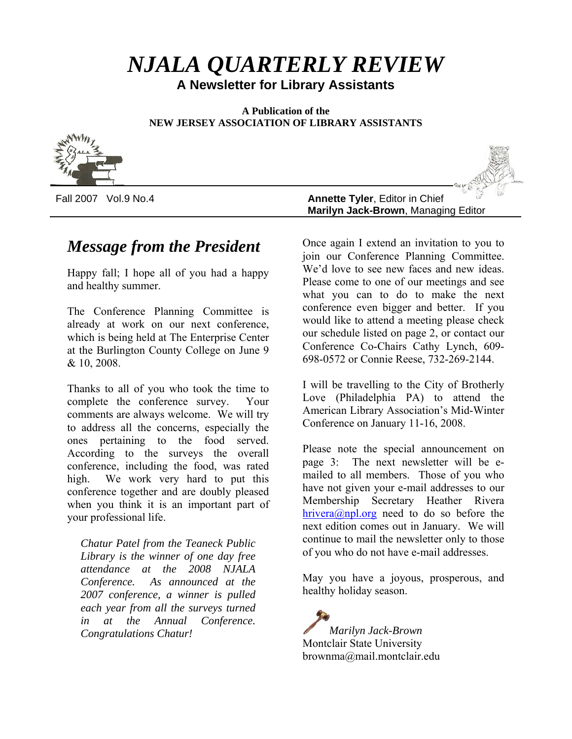# *NJALA QUARTERLY REVIEW*

**A Newsletter for Library Assistants**

**A Publication of the NEW JERSEY ASSOCIATION OF LIBRARY ASSISTANTS**



Fall 2007 Vol.9 No.4 **Annette Tyler**, Editor in Chief **Marilyn Jack-Brown**, Managing Editor

# *Message from the President*

Happy fall; I hope all of you had a happy and healthy summer.

The Conference Planning Committee is already at work on our next conference, which is being held at The Enterprise Center at the Burlington County College on June 9 & 10, 2008.

Thanks to all of you who took the time to complete the conference survey. Your comments are always welcome. We will try to address all the concerns, especially the ones pertaining to the food served. According to the surveys the overall conference, including the food, was rated high. We work very hard to put this conference together and are doubly pleased when you think it is an important part of your professional life.

*Chatur Patel from the Teaneck Public Library is the winner of one day free attendance at the 2008 NJALA Conference. As announced at the 2007 conference, a winner is pulled each year from all the surveys turned in at the Annual Conference. Congratulations Chatur!*

Once again I extend an invitation to you to join our Conference Planning Committee. We'd love to see new faces and new ideas. Please come to one of our meetings and see what you can to do to make the next conference even bigger and better. If you would like to attend a meeting please check our schedule listed on page 2, or contact our Conference Co-Chairs Cathy Lynch, 609- 698-0572 or Connie Reese, 732-269-2144.

I will be travelling to the City of Brotherly Love (Philadelphia PA) to attend the American Library Association's Mid-Winter Conference on January 11-16, 2008.

Please note the special announcement on page 3: The next newsletter will be emailed to all members. Those of you who have not given your e-mail addresses to our Membership Secretary Heather Rivera [hrivera@npl.org](mailto:hrivera@npl.org) need to do so before the next edition comes out in January. We will continue to mail the newsletter only to those of you who do not have e-mail addresses.

May you have a joyous, prosperous, and healthy holiday season.

*Marilyn Jack-Brown* Montclair State University brownma@mail.montclair.edu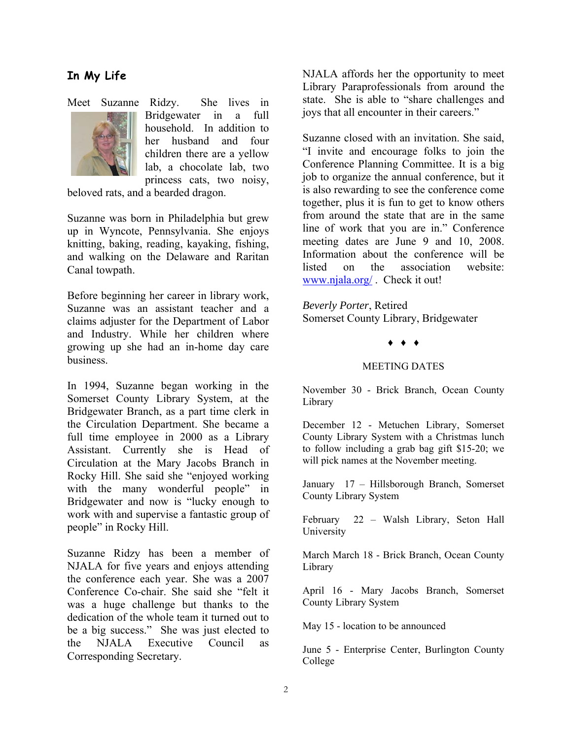# **In My Life**



Meet Suzanne Ridzy. She lives in Bridgewater in a full household. In addition to her husband and four children there are a yellow lab, a chocolate lab, two princess cats, two noisy,

beloved rats, and a bearded dragon.

Suzanne was born in Philadelphia but grew up in Wyncote, Pennsylvania. She enjoys knitting, baking, reading, kayaking, fishing, and walking on the Delaware and Raritan Canal towpath.

Before beginning her career in library work, Suzanne was an assistant teacher and a claims adjuster for the Department of Labor and Industry. While her children where growing up she had an in-home day care business.

In 1994, Suzanne began working in the Somerset County Library System, at the Bridgewater Branch, as a part time clerk in the Circulation Department. She became a full time employee in 2000 as a Library Assistant. Currently she is Head of Circulation at the Mary Jacobs Branch in Rocky Hill. She said she "enjoyed working with the many wonderful people" in Bridgewater and now is "lucky enough to work with and supervise a fantastic group of people" in Rocky Hill.

Suzanne Ridzy has been a member of NJALA for five years and enjoys attending the conference each year. She was a 2007 Conference Co-chair. She said she "felt it was a huge challenge but thanks to the dedication of the whole team it turned out to be a big success." She was just elected to the NJALA Executive Council as Corresponding Secretary.

NJALA affords her the opportunity to meet Library Paraprofessionals from around the state. She is able to "share challenges and joys that all encounter in their careers."

Suzanne closed with an invitation. She said, "I invite and encourage folks to join the Conference Planning Committee. It is a big job to organize the annual conference, but it is also rewarding to see the conference come together, plus it is fun to get to know others from around the state that are in the same line of work that you are in." Conference meeting dates are June 9 and 10, 2008. Information about the conference will be listed on the association website: [www.njala.org/](http://www.njala.org/) . Check it out!

*Beverly Porter*, Retired Somerset County Library, Bridgewater

## ♦ ♦ ♦

## MEETING DATES

November 30 - Brick Branch, Ocean County Library

December 12 - Metuchen Library, Somerset County Library System with a Christmas lunch to follow including a grab bag gift \$15-20; we will pick names at the November meeting.

January 17 – Hillsborough Branch, Somerset County Library System

February 22 – Walsh Library, Seton Hall University

March March 18 - Brick Branch, Ocean County Library

April 16 - Mary Jacobs Branch, Somerset County Library System

May 15 - location to be announced

June 5 - Enterprise Center, Burlington County College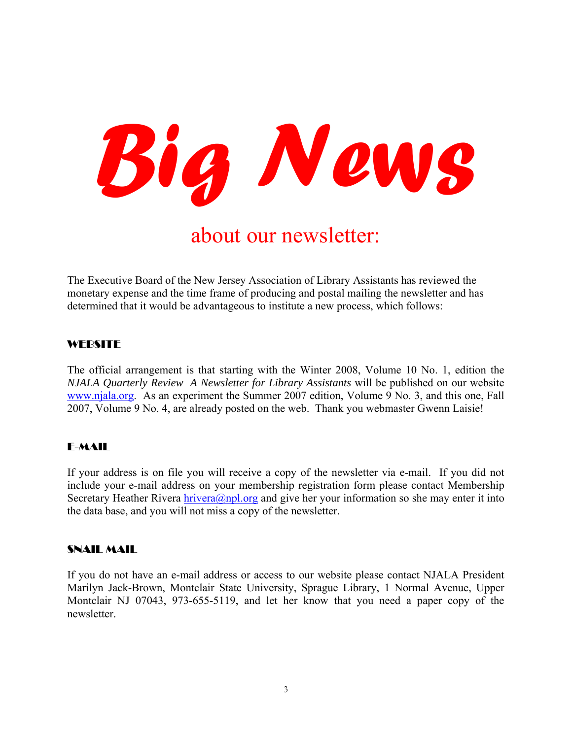

# about our newsletter:

The Executive Board of the New Jersey Association of Library Assistants has reviewed the monetary expense and the time frame of producing and postal mailing the newsletter and has determined that it would be advantageous to institute a new process, which follows:

# **WEBSITE**

The official arrangement is that starting with the Winter 2008, Volume 10 No. 1, edition the *NJALA Quarterly Review A Newsletter for Library Assistants* will be published on our website [www.njala.org](http://www.njala.org/). As an experiment the Summer 2007 edition, Volume 9 No. 3, and this one, Fall 2007, Volume 9 No. 4, are already posted on the web. Thank you webmaster Gwenn Laisie!

# E-MAIL

If your address is on file you will receive a copy of the newsletter via e-mail. If you did not include your e-mail address on your membership registration form please contact Membership Secretary Heather Rivera [hrivera@npl.org](mailto:hrivera@npl.org) and give her your information so she may enter it into the data base, and you will not miss a copy of the newsletter.

# SNAIL MAIL

If you do not have an e-mail address or access to our website please contact NJALA President Marilyn Jack-Brown, Montclair State University, Sprague Library, 1 Normal Avenue, Upper Montclair NJ 07043, 973-655-5119, and let her know that you need a paper copy of the newsletter.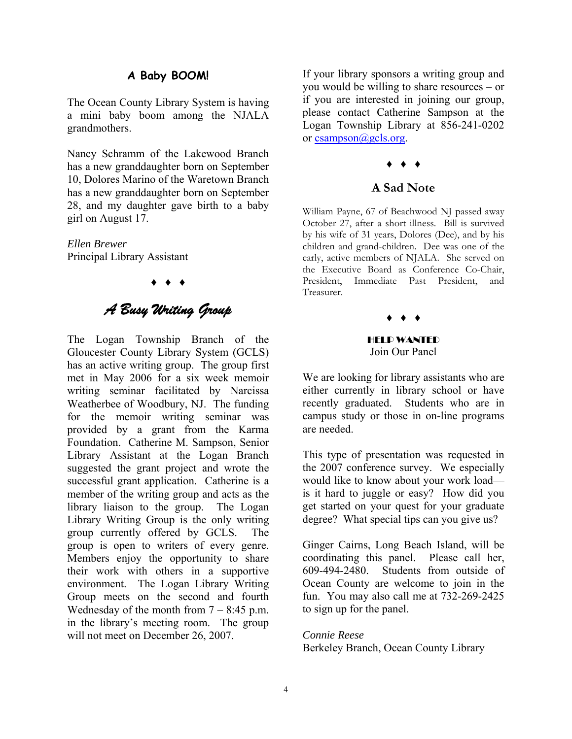# **A Baby BOOM!**

The Ocean County Library System is having a mini baby boom among the NJALA grandmothers.

Nancy Schramm of the Lakewood Branch has a new granddaughter born on September 10, Dolores Marino of the Waretown Branch has a new granddaughter born on September 28, and my daughter gave birth to a baby girl on August 17.

*Ellen Brewer*  Principal Library Assistant

♦ ♦ ♦

# *A Busy Writing Group*

The Logan Township Branch of the Gloucester County Library System (GCLS) has an active writing group. The group first met in May 2006 for a six week memoir writing seminar facilitated by Narcissa Weatherbee of Woodbury, NJ. The funding for the memoir writing seminar was provided by a grant from the Karma Foundation. Catherine M. Sampson, Senior Library Assistant at the Logan Branch suggested the grant project and wrote the successful grant application. Catherine is a member of the writing group and acts as the library liaison to the group. The Logan Library Writing Group is the only writing group currently offered by GCLS. The group is open to writers of every genre. Members enjoy the opportunity to share their work with others in a supportive environment. The Logan Library Writing Group meets on the second and fourth Wednesday of the month from  $7 - 8:45$  p.m. in the library's meeting room. The group will not meet on December 26, 2007.

If your library sponsors a writing group and you would be willing to share resources – or if you are interested in joining our group, please contact Catherine Sampson at the Logan Township Library at 856-241-0202 or [csampson@gcls.org.](mailto:csampson@gcls.org)

# ♦ ♦ ♦

## **A Sad Note**

William Payne, 67 of Beachwood NJ passed away October 27, after a short illness. Bill is survived by his wife of 31 years, Dolores (Dee), and by his children and grand-children. Dee was one of the early, active members of NJALA. She served on the Executive Board as Conference Co-Chair, President, Immediate Past President, and Treasurer.

♦ ♦ ♦

HELP WANTED Join Our Panel

We are looking for library assistants who are either currently in library school or have recently graduated. Students who are in campus study or those in on-line programs are needed.

This type of presentation was requested in the 2007 conference survey. We especially would like to know about your work load is it hard to juggle or easy? How did you get started on your quest for your graduate degree? What special tips can you give us?

Ginger Cairns, Long Beach Island, will be coordinating this panel. Please call her, 609-494-2480. Students from outside of Ocean County are welcome to join in the fun. You may also call me at 732-269-2425 to sign up for the panel.

#### *Connie Reese*

Berkeley Branch, Ocean County Library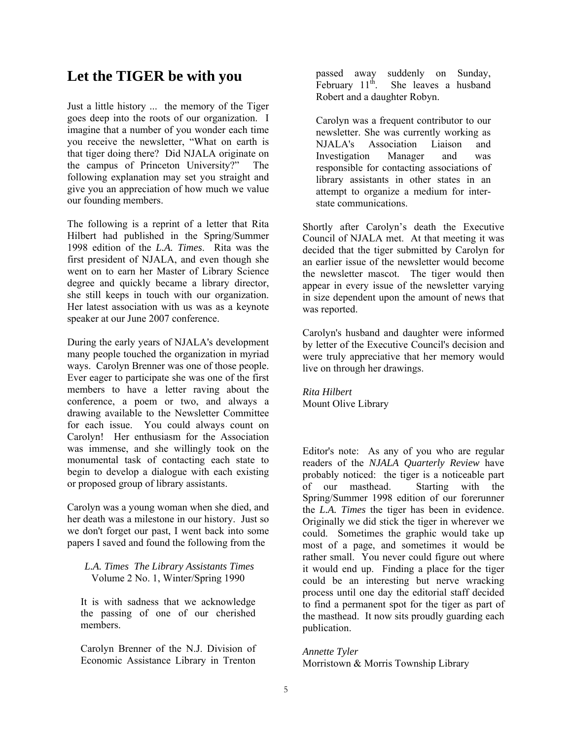# **Let the TIGER be with you**

Just a little history ... the memory of the Tiger goes deep into the roots of our organization. I imagine that a number of you wonder each time you receive the newsletter, "What on earth is that tiger doing there? Did NJALA originate on the campus of Princeton University?" The following explanation may set you straight and give you an appreciation of how much we value our founding members.

The following is a reprint of a letter that Rita Hilbert had published in the Spring/Summer 1998 edition of the *L.A. Times*. Rita was the first president of NJALA, and even though she went on to earn her Master of Library Science degree and quickly became a library director, she still keeps in touch with our organization. Her latest association with us was as a keynote speaker at our June 2007 conference.

During the early years of NJALA's development many people touched the organization in myriad ways. Carolyn Brenner was one of those people. Ever eager to participate she was one of the first members to have a letter raving about the conference, a poem or two, and always a drawing available to the Newsletter Committee for each issue. You could always count on Carolyn! Her enthusiasm for the Association was immense, and she willingly took on the monumental task of contacting each state to begin to develop a dialogue with each existing or proposed group of library assistants.

Carolyn was a young woman when she died, and her death was a milestone in our history. Just so we don't forget our past, I went back into some papers I saved and found the following from the

## *L.A. Times The Library Assistants Times* Volume 2 No. 1, Winter/Spring 1990

It is with sadness that we acknowledge the passing of one of our cherished members.

Carolyn Brenner of the N.J. Division of Economic Assistance Library in Trenton passed away suddenly on Sunday,<br>February 11<sup>th</sup>. She leaves a husband She leaves a husband Robert and a daughter Robyn.

Carolyn was a frequent contributor to our newsletter. She was currently working as NJALA's Association Liaison and Investigation Manager and was responsible for contacting associations of library assistants in other states in an attempt to organize a medium for interstate communications.

Shortly after Carolyn's death the Executive Council of NJALA met. At that meeting it was decided that the tiger submitted by Carolyn for an earlier issue of the newsletter would become the newsletter mascot. The tiger would then appear in every issue of the newsletter varying in size dependent upon the amount of news that was reported.

Carolyn's husband and daughter were informed by letter of the Executive Council's decision and were truly appreciative that her memory would live on through her drawings.

*Rita Hilbert*  Mount Olive Library

Editor's note: As any of you who are regular readers of the *NJALA Quarterly Review* have probably noticed: the tiger is a noticeable part of our masthead. Starting with the Spring/Summer 1998 edition of our forerunner the *L.A. Times* the tiger has been in evidence. Originally we did stick the tiger in wherever we could. Sometimes the graphic would take up most of a page, and sometimes it would be rather small. You never could figure out where it would end up. Finding a place for the tiger could be an interesting but nerve wracking process until one day the editorial staff decided to find a permanent spot for the tiger as part of the masthead. It now sits proudly guarding each publication.

*Annette Tyler*  Morristown & Morris Township Library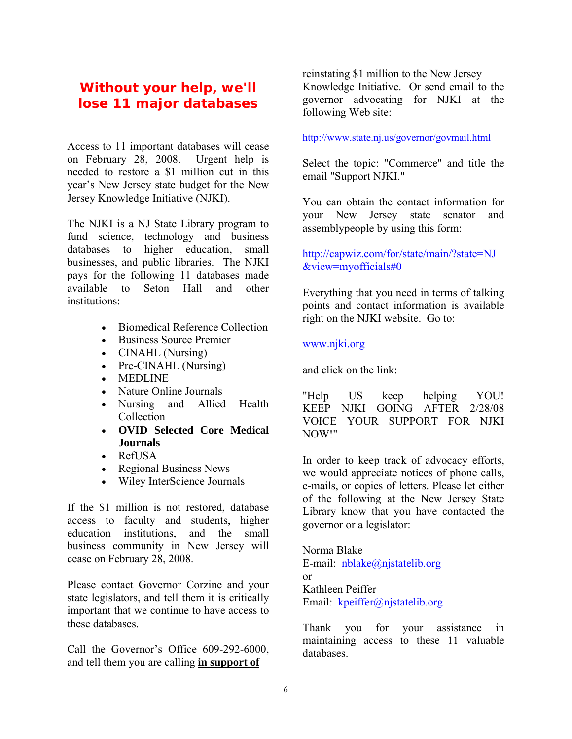# **Without your help, we'll lose 11 major databases**

Access to 11 important databases will cease on February 28, 2008. Urgent help is needed to restore a \$1 million cut in this year's New Jersey state budget for the New Jersey Knowledge Initiative (NJKI).

The NJKI is a NJ State Library program to fund science, technology and business databases to higher education, small businesses, and public libraries. The NJKI pays for the following 11 databases made available to Seton Hall and other institutions:

- Biomedical Reference Collection
- Business Source Premier
- CINAHL (Nursing)
- Pre-CINAHL (Nursing)
- MEDLINE
- Nature Online Journals
- Nursing and Allied Health Collection
- **OVID Selected Core Medical Journals**
- RefUSA
- Regional Business News
- Wiley InterScience Journals

If the \$1 million is not restored, database access to faculty and students, higher education institutions, and the small business community in New Jersey will cease on February 28, 2008.

Please contact Governor Corzine and your state legislators, and tell them it is critically important that we continue to have access to these databases.

Call the Governor's Office 609-292-6000, and tell them you are calling **in support of**

reinstating \$1 million to the New Jersey Knowledge Initiative. Or send email to the governor advocating for NJKI at the following Web site:

## <http://www.state.nj.us/governor/govmail.html>

Select the topic: "Commerce" and title the email "Support NJKI."

You can obtain the contact information for your New Jersey state senator and assemblypeople by using this form:

## [http://capwiz.com/for/state/main/?state=NJ](http://capwiz.com/for/state/main/?state=NJ&view=myofficials#0) [&view=myofficials#0](http://capwiz.com/for/state/main/?state=NJ&view=myofficials#0)

Everything that you need in terms of talking points and contact information is available right on the NJKI website. Go to:

## [www.njki.org](http://www.njki.org/)

and click on the link:

"Help US keep helping YOU! KEEP NJKI GOING AFTER 2/28/08 VOICE YOUR SUPPORT FOR NJKI NOW!"

In order to keep track of advocacy efforts, we would appreciate notices of phone calls, e-mails, or copies of letters. Please let either of the following at the New Jersey State Library know that you have contacted the governor or a legislator:

Norma Blake E-mail: [nblake@njstatelib.org](mailto:nblake@njstatelib.org) or Kathleen Peiffer Email: [kpeiffer@njstatelib.org](mailto:kpeiffer@njstatelib.org)

Thank you for your assistance in maintaining access to these 11 valuable databases.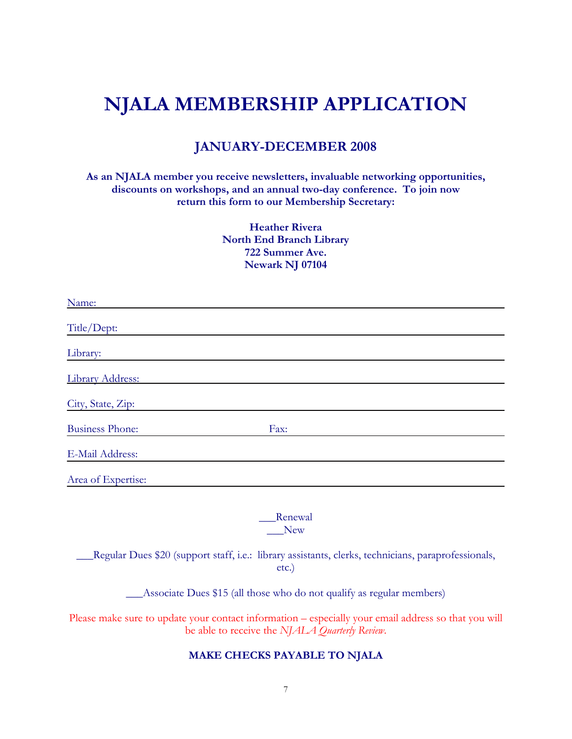# **NJALA MEMBERSHIP APPLICATION**

# **JANUARY-DECEMBER 2008**

**As an NJALA member you receive newsletters, invaluable networking opportunities, discounts on workshops, and an annual two-day conference. To join now return this form to our Membership Secretary:** 

> **Heather Rivera North End Branch Library 722 Summer Ave. Newark NJ 07104**

| Name:                  |      |  |
|------------------------|------|--|
| Title/Dept:            |      |  |
| Library:               |      |  |
| Library Address:       |      |  |
| City, State, Zip:      |      |  |
| <b>Business Phone:</b> | Fax: |  |
| E-Mail Address:        |      |  |
| Area of Expertise:     |      |  |
|                        |      |  |

\_\_\_Renewal New

\_\_\_Regular Dues \$20 (support staff, i.e.: library assistants, clerks, technicians, paraprofessionals, etc.)

\_\_\_Associate Dues \$15 (all those who do not qualify as regular members)

Please make sure to update your contact information – especially your email address so that you will be able to receive the *NJALA Quarterly Review*.

#### **MAKE CHECKS PAYABLE TO NJALA**